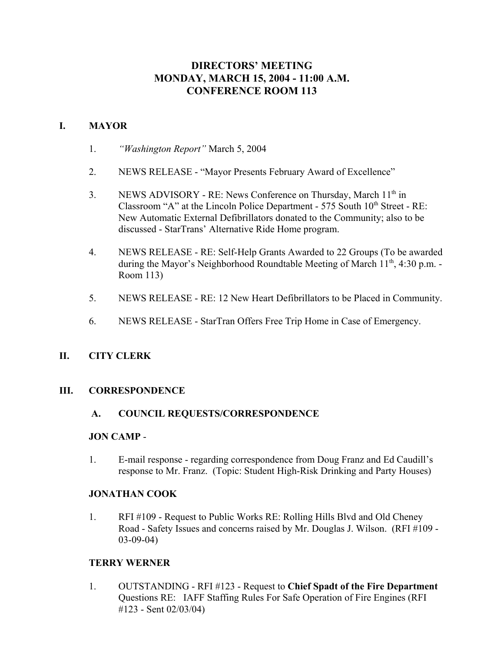# **DIRECTORS' MEETING MONDAY, MARCH 15, 2004 - 11:00 A.M. CONFERENCE ROOM 113**

## **I. MAYOR**

- 1. *"Washington Report"* March 5, 2004
- 2. NEWS RELEASE "Mayor Presents February Award of Excellence"
- 3. NEWS ADVISORY RE: News Conference on Thursday, March 11<sup>th</sup> in Classroom "A" at the Lincoln Police Department -  $575$  South  $10<sup>th</sup>$  Street - RE: New Automatic External Defibrillators donated to the Community; also to be discussed - StarTrans' Alternative Ride Home program.
- 4. NEWS RELEASE RE: Self-Help Grants Awarded to 22 Groups (To be awarded during the Mayor's Neighborhood Roundtable Meeting of March  $11<sup>th</sup>$ , 4:30 p.m. -Room 113)
- 5. NEWS RELEASE RE: 12 New Heart Defibrillators to be Placed in Community.
- 6. NEWS RELEASE StarTran Offers Free Trip Home in Case of Emergency.

### **II. CITY CLERK**

#### **III. CORRESPONDENCE**

### **A. COUNCIL REQUESTS/CORRESPONDENCE**

#### **JON CAMP** -

1. E-mail response - regarding correspondence from Doug Franz and Ed Caudill's response to Mr. Franz. (Topic: Student High-Risk Drinking and Party Houses)

#### **JONATHAN COOK**

1. RFI #109 - Request to Public Works RE: Rolling Hills Blvd and Old Cheney Road - Safety Issues and concerns raised by Mr. Douglas J. Wilson. (RFI #109 - 03-09-04)

#### **TERRY WERNER**

1. OUTSTANDING - RFI #123 - Request to **Chief Spadt of the Fire Department** Questions RE: IAFF Staffing Rules For Safe Operation of Fire Engines (RFI #123 - Sent 02/03/04)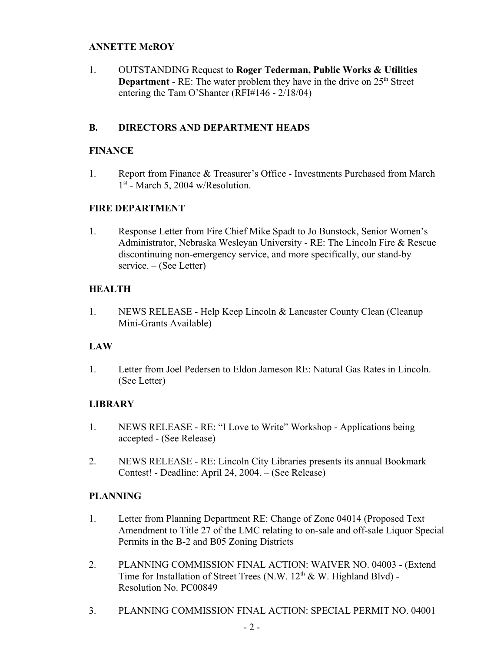#### **ANNETTE McROY**

1. OUTSTANDING Request to **Roger Tederman, Public Works & Utilities Department** - RE: The water problem they have in the drive on  $25<sup>th</sup>$  Street entering the Tam O'Shanter (RFI#146 - 2/18/04)

### **B. DIRECTORS AND DEPARTMENT HEADS**

#### **FINANCE**

1. Report from Finance & Treasurer's Office - Investments Purchased from March  $1<sup>st</sup>$  - March 5, 2004 w/Resolution.

### **FIRE DEPARTMENT**

1. Response Letter from Fire Chief Mike Spadt to Jo Bunstock, Senior Women's Administrator, Nebraska Wesleyan University - RE: The Lincoln Fire & Rescue discontinuing non-emergency service, and more specifically, our stand-by service. – (See Letter)

## **HEALTH**

1. NEWS RELEASE - Help Keep Lincoln & Lancaster County Clean (Cleanup Mini-Grants Available)

### **LAW**

1. Letter from Joel Pedersen to Eldon Jameson RE: Natural Gas Rates in Lincoln. (See Letter)

### **LIBRARY**

- 1. NEWS RELEASE RE: "I Love to Write" Workshop Applications being accepted - (See Release)
- 2. NEWS RELEASE RE: Lincoln City Libraries presents its annual Bookmark Contest! - Deadline: April 24, 2004. – (See Release)

### **PLANNING**

- 1. Letter from Planning Department RE: Change of Zone 04014 (Proposed Text Amendment to Title 27 of the LMC relating to on-sale and off-sale Liquor Special Permits in the B-2 and B05 Zoning Districts
- 2. PLANNING COMMISSION FINAL ACTION: WAIVER NO. 04003 (Extend Time for Installation of Street Trees (N.W.  $12<sup>th</sup>$  & W. Highland Blvd) -Resolution No. PC00849
- 3. PLANNING COMMISSION FINAL ACTION: SPECIAL PERMIT NO. 04001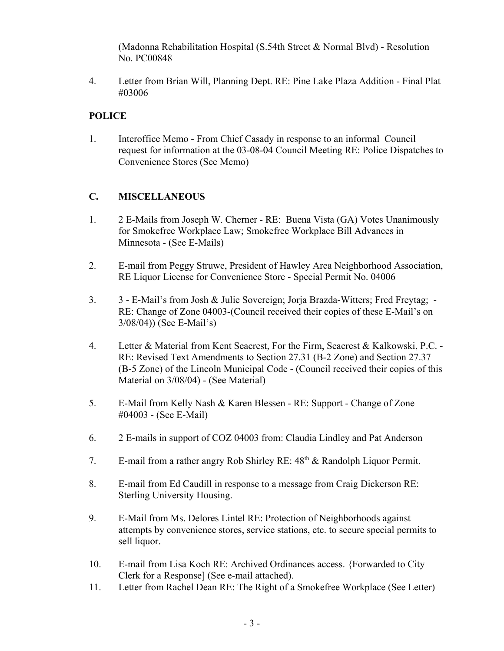(Madonna Rehabilitation Hospital (S.54th Street & Normal Blvd) - Resolution No. PC00848

4. Letter from Brian Will, Planning Dept. RE: Pine Lake Plaza Addition - Final Plat #03006

# **POLICE**

1. Interoffice Memo - From Chief Casady in response to an informal Council request for information at the 03-08-04 Council Meeting RE: Police Dispatches to Convenience Stores (See Memo)

# **C. MISCELLANEOUS**

- 1. 2 E-Mails from Joseph W. Cherner RE: Buena Vista (GA) Votes Unanimously for Smokefree Workplace Law; Smokefree Workplace Bill Advances in Minnesota - (See E-Mails)
- 2. E-mail from Peggy Struwe, President of Hawley Area Neighborhood Association, RE Liquor License for Convenience Store - Special Permit No. 04006
- 3. 3 E-Mail's from Josh & Julie Sovereign; Jorja Brazda-Witters; Fred Freytag; RE: Change of Zone 04003-(Council received their copies of these E-Mail's on 3/08/04)) (See E-Mail's)
- 4. Letter & Material from Kent Seacrest, For the Firm, Seacrest & Kalkowski, P.C. RE: Revised Text Amendments to Section 27.31 (B-2 Zone) and Section 27.37 (B-5 Zone) of the Lincoln Municipal Code - (Council received their copies of this Material on 3/08/04) - (See Material)
- 5. E-Mail from Kelly Nash & Karen Blessen RE: Support Change of Zone #04003 - (See E-Mail)
- 6. 2 E-mails in support of COZ 04003 from: Claudia Lindley and Pat Anderson
- 7. E-mail from a rather angry Rob Shirley RE:  $48<sup>th</sup>$  & Randolph Liquor Permit.
- 8. E-mail from Ed Caudill in response to a message from Craig Dickerson RE: Sterling University Housing.
- 9. E-Mail from Ms. Delores Lintel RE: Protection of Neighborhoods against attempts by convenience stores, service stations, etc. to secure special permits to sell liquor.
- 10. E-mail from Lisa Koch RE: Archived Ordinances access. {Forwarded to City Clerk for a Response] (See e-mail attached).
- 11. Letter from Rachel Dean RE: The Right of a Smokefree Workplace (See Letter)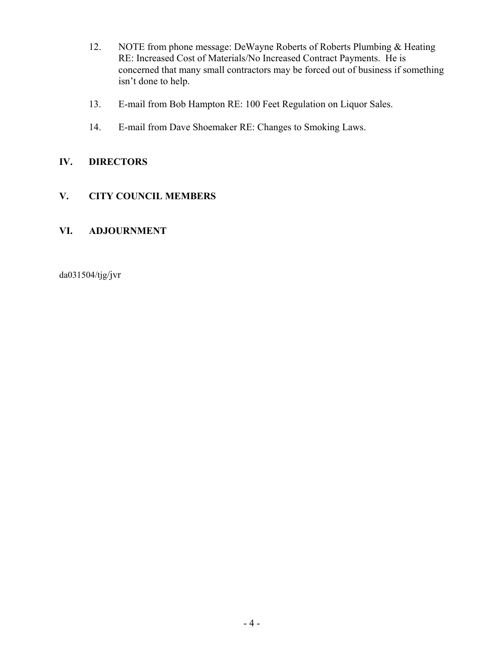- 12. NOTE from phone message: DeWayne Roberts of Roberts Plumbing & Heating RE: Increased Cost of Materials/No Increased Contract Payments. He is concerned that many small contractors may be forced out of business if something isn't done to help.
- 13. E-mail from Bob Hampton RE: 100 Feet Regulation on Liquor Sales.
- 14. E-mail from Dave Shoemaker RE: Changes to Smoking Laws.

# **IV. DIRECTORS**

# **V. CITY COUNCIL MEMBERS**

# **VI. ADJOURNMENT**

da031504/tjg/jvr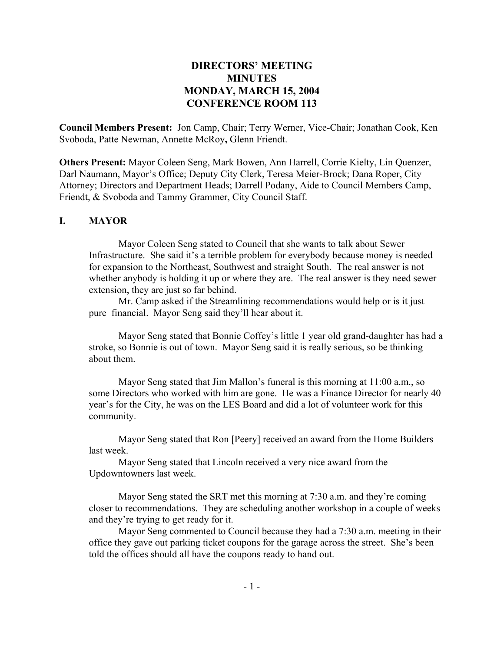# **DIRECTORS' MEETING MINUTES MONDAY, MARCH 15, 2004 CONFERENCE ROOM 113**

**Council Members Present:** Jon Camp, Chair; Terry Werner, Vice-Chair; Jonathan Cook, Ken Svoboda, Patte Newman, Annette McRoy**,** Glenn Friendt.

**Others Present:** Mayor Coleen Seng, Mark Bowen, Ann Harrell, Corrie Kielty, Lin Quenzer, Darl Naumann, Mayor's Office; Deputy City Clerk, Teresa Meier-Brock; Dana Roper, City Attorney; Directors and Department Heads; Darrell Podany, Aide to Council Members Camp, Friendt, & Svoboda and Tammy Grammer, City Council Staff.

#### **I. MAYOR**

Mayor Coleen Seng stated to Council that she wants to talk about Sewer Infrastructure. She said it's a terrible problem for everybody because money is needed for expansion to the Northeast, Southwest and straight South. The real answer is not whether anybody is holding it up or where they are. The real answer is they need sewer extension, they are just so far behind.

Mr. Camp asked if the Streamlining recommendations would help or is it just pure financial. Mayor Seng said they'll hear about it.

Mayor Seng stated that Bonnie Coffey's little 1 year old grand-daughter has had a stroke, so Bonnie is out of town. Mayor Seng said it is really serious, so be thinking about them.

Mayor Seng stated that Jim Mallon's funeral is this morning at 11:00 a.m., so some Directors who worked with him are gone. He was a Finance Director for nearly 40 year's for the City, he was on the LES Board and did a lot of volunteer work for this community.

Mayor Seng stated that Ron [Peery] received an award from the Home Builders last week.

Mayor Seng stated that Lincoln received a very nice award from the Updowntowners last week.

Mayor Seng stated the SRT met this morning at 7:30 a.m. and they're coming closer to recommendations. They are scheduling another workshop in a couple of weeks and they're trying to get ready for it.

Mayor Seng commented to Council because they had a 7:30 a.m. meeting in their office they gave out parking ticket coupons for the garage across the street. She's been told the offices should all have the coupons ready to hand out.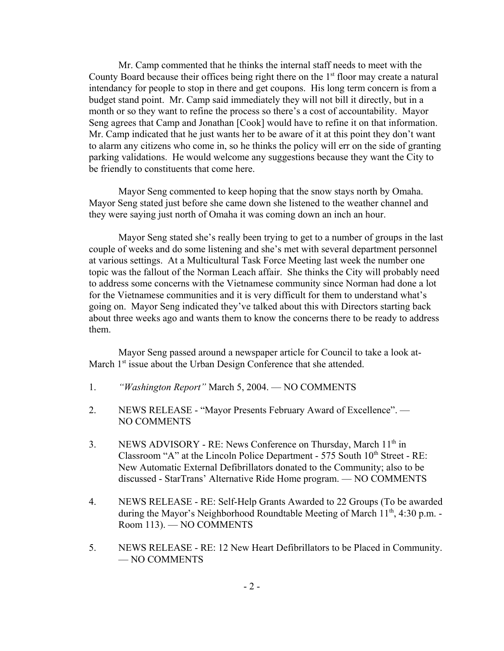Mr. Camp commented that he thinks the internal staff needs to meet with the County Board because their offices being right there on the  $1<sup>st</sup>$  floor may create a natural intendancy for people to stop in there and get coupons. His long term concern is from a budget stand point. Mr. Camp said immediately they will not bill it directly, but in a month or so they want to refine the process so there's a cost of accountability. Mayor Seng agrees that Camp and Jonathan [Cook] would have to refine it on that information. Mr. Camp indicated that he just wants her to be aware of it at this point they don't want to alarm any citizens who come in, so he thinks the policy will err on the side of granting parking validations. He would welcome any suggestions because they want the City to be friendly to constituents that come here.

Mayor Seng commented to keep hoping that the snow stays north by Omaha. Mayor Seng stated just before she came down she listened to the weather channel and they were saying just north of Omaha it was coming down an inch an hour.

Mayor Seng stated she's really been trying to get to a number of groups in the last couple of weeks and do some listening and she's met with several department personnel at various settings. At a Multicultural Task Force Meeting last week the number one topic was the fallout of the Norman Leach affair. She thinks the City will probably need to address some concerns with the Vietnamese community since Norman had done a lot for the Vietnamese communities and it is very difficult for them to understand what's going on. Mayor Seng indicated they've talked about this with Directors starting back about three weeks ago and wants them to know the concerns there to be ready to address them.

Mayor Seng passed around a newspaper article for Council to take a look at-March 1<sup>st</sup> issue about the Urban Design Conference that she attended.

- 1. *"Washington Report"* March 5, 2004. NO COMMENTS
- 2. NEWS RELEASE "Mayor Presents February Award of Excellence". NO COMMENTS
- 3. NEWS ADVISORY RE: News Conference on Thursday, March 11<sup>th</sup> in Classroom "A" at the Lincoln Police Department -  $575$  South  $10<sup>th</sup>$  Street - RE: New Automatic External Defibrillators donated to the Community; also to be discussed - StarTrans' Alternative Ride Home program. — NO COMMENTS
- 4. NEWS RELEASE RE: Self-Help Grants Awarded to 22 Groups (To be awarded during the Mayor's Neighborhood Roundtable Meeting of March  $11<sup>th</sup>$ , 4:30 p.m. -Room 113). — NO COMMENTS
- 5. NEWS RELEASE RE: 12 New Heart Defibrillators to be Placed in Community. — NO COMMENTS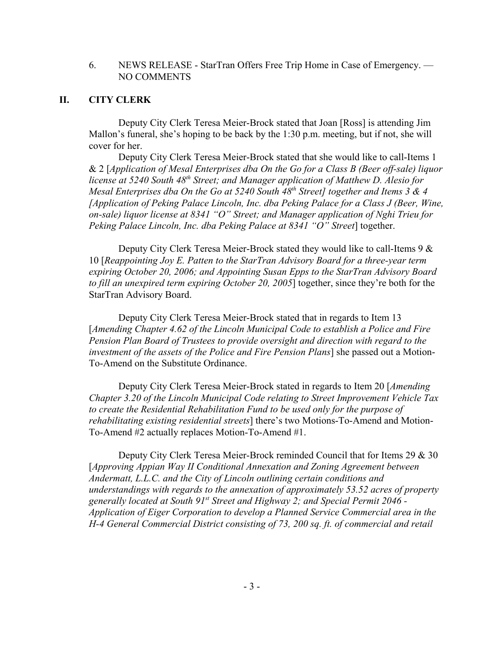#### 6. NEWS RELEASE - StarTran Offers Free Trip Home in Case of Emergency. — NO COMMENTS

### **II. CITY CLERK**

Deputy City Clerk Teresa Meier-Brock stated that Joan [Ross] is attending Jim Mallon's funeral, she's hoping to be back by the 1:30 p.m. meeting, but if not, she will cover for her.

Deputy City Clerk Teresa Meier-Brock stated that she would like to call-Items 1 & 2 [*Application of Mesal Enterprises dba On the Go for a Class B (Beer off-sale) liquor license at 5240 South 48th Street; and Manager application of Matthew D. Alesio for Mesal Enterprises dba On the Go at 5240 South 48<sup>th</sup> Street] together and Items 3 & 4 [Application of Peking Palace Lincoln, Inc. dba Peking Palace for a Class J (Beer, Wine, on-sale) liquor license at 8341 "O" Street; and Manager application of Nghi Trieu for Peking Palace Lincoln, Inc. dba Peking Palace at 8341 "O" Street*] together.

Deputy City Clerk Teresa Meier-Brock stated they would like to call-Items 9 & 10 [*Reappointing Joy E. Patten to the StarTran Advisory Board for a three-year term expiring October 20, 2006; and Appointing Susan Epps to the StarTran Advisory Board to fill an unexpired term expiring October 20, 2005*] together, since they're both for the StarTran Advisory Board.

Deputy City Clerk Teresa Meier-Brock stated that in regards to Item 13 [*Amending Chapter 4.62 of the Lincoln Municipal Code to establish a Police and Fire Pension Plan Board of Trustees to provide oversight and direction with regard to the investment of the assets of the Police and Fire Pension Plans*] she passed out a Motion-To-Amend on the Substitute Ordinance.

Deputy City Clerk Teresa Meier-Brock stated in regards to Item 20 [*Amending Chapter 3.20 of the Lincoln Municipal Code relating to Street Improvement Vehicle Tax to create the Residential Rehabilitation Fund to be used only for the purpose of rehabilitating existing residential streets*] there's two Motions-To-Amend and Motion-To-Amend #2 actually replaces Motion-To-Amend #1.

Deputy City Clerk Teresa Meier-Brock reminded Council that for Items 29 & 30 [*Approving Appian Way II Conditional Annexation and Zoning Agreement between Andermatt, L.L.C. and the City of Lincoln outlining certain conditions and understandings with regards to the annexation of approximately 53.52 acres of property generally located at South 91st Street and Highway 2; and Special Permit 2046 - Application of Eiger Corporation to develop a Planned Service Commercial area in the H-4 General Commercial District consisting of 73, 200 sq. ft. of commercial and retail*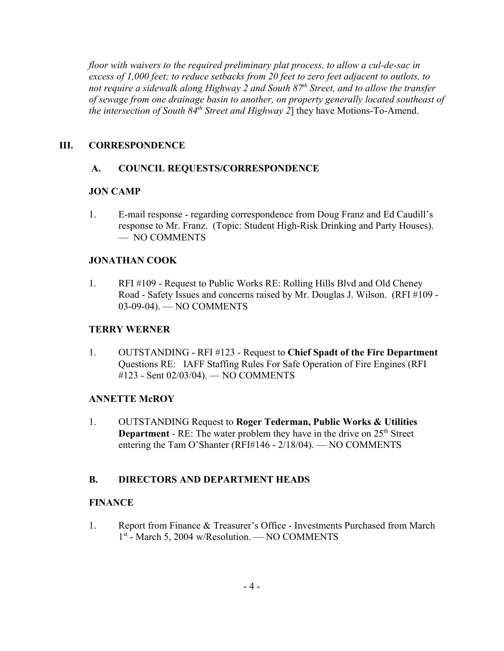*floor with waivers to the required preliminary plat process, to allow a cul-de-sac in excess of 1,000 feet; to reduce setbacks from 20 feet to zero feet adjacent to outlots, to* not require a sidewalk along Highway 2 and South 87<sup>th</sup> Street, and to allow the transfer *of sewage from one drainage basin to another, on property generally located southeast of the intersection of South 84<sup>th</sup> Street and Highway 2*] they have Motions-To-Amend.

## **III. CORRESPONDENCE**

## **A. COUNCIL REQUESTS/CORRESPONDENCE**

### **JON CAMP**

1. E-mail response - regarding correspondence from Doug Franz and Ed Caudill's response to Mr. Franz. (Topic: Student High-Risk Drinking and Party Houses). — NO COMMENTS

## **JONATHAN COOK**

1. RFI #109 - Request to Public Works RE: Rolling Hills Blvd and Old Cheney Road - Safety Issues and concerns raised by Mr. Douglas J. Wilson. (RFI #109 - 03-09-04). — NO COMMENTS

## **TERRY WERNER**

1. OUTSTANDING - RFI #123 - Request to **Chief Spadt of the Fire Department** Questions RE: IAFF Staffing Rules For Safe Operation of Fire Engines (RFI #123 - Sent 02/03/04). — NO COMMENTS

### **ANNETTE McROY**

1. OUTSTANDING Request to **Roger Tederman, Public Works & Utilities Department** - RE: The water problem they have in the drive on 25<sup>th</sup> Street entering the Tam O'Shanter (RFI#146 - 2/18/04). — NO COMMENTS

# **B. DIRECTORS AND DEPARTMENT HEADS**

### **FINANCE**

1. Report from Finance & Treasurer's Office - Investments Purchased from March 1<sup>st</sup> - March 5, 2004 w/Resolution. — NO COMMENTS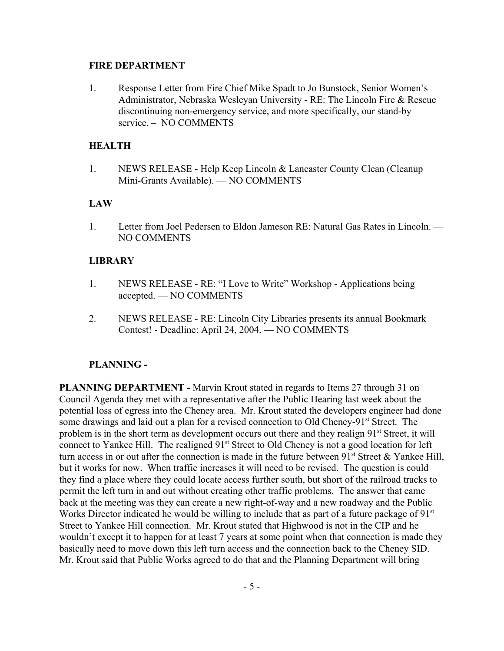#### **FIRE DEPARTMENT**

1. Response Letter from Fire Chief Mike Spadt to Jo Bunstock, Senior Women's Administrator, Nebraska Wesleyan University - RE: The Lincoln Fire & Rescue discontinuing non-emergency service, and more specifically, our stand-by service. – NO COMMENTS

## **HEALTH**

1. NEWS RELEASE - Help Keep Lincoln & Lancaster County Clean (Cleanup Mini-Grants Available). — NO COMMENTS

### **LAW**

1. Letter from Joel Pedersen to Eldon Jameson RE: Natural Gas Rates in Lincoln. — NO COMMENTS

### **LIBRARY**

- 1. NEWS RELEASE RE: "I Love to Write" Workshop Applications being accepted. — NO COMMENTS
- 2. NEWS RELEASE RE: Lincoln City Libraries presents its annual Bookmark Contest! - Deadline: April 24, 2004. — NO COMMENTS

### **PLANNING -**

**PLANNING DEPARTMENT - Marvin Krout stated in regards to Items 27 through 31 on** Council Agenda they met with a representative after the Public Hearing last week about the potential loss of egress into the Cheney area. Mr. Krout stated the developers engineer had done some drawings and laid out a plan for a revised connection to Old Cheney-91<sup>st</sup> Street. The problem is in the short term as development occurs out there and they realign 91<sup>st</sup> Street, it will connect to Yankee Hill. The realigned 91<sup>st</sup> Street to Old Cheney is not a good location for left turn access in or out after the connection is made in the future between  $91<sup>st</sup>$  Street & Yankee Hill, but it works for now. When traffic increases it will need to be revised. The question is could they find a place where they could locate access further south, but short of the railroad tracks to permit the left turn in and out without creating other traffic problems. The answer that came back at the meeting was they can create a new right-of-way and a new roadway and the Public Works Director indicated he would be willing to include that as part of a future package of 91<sup>st</sup> Street to Yankee Hill connection. Mr. Krout stated that Highwood is not in the CIP and he wouldn't except it to happen for at least 7 years at some point when that connection is made they basically need to move down this left turn access and the connection back to the Cheney SID. Mr. Krout said that Public Works agreed to do that and the Planning Department will bring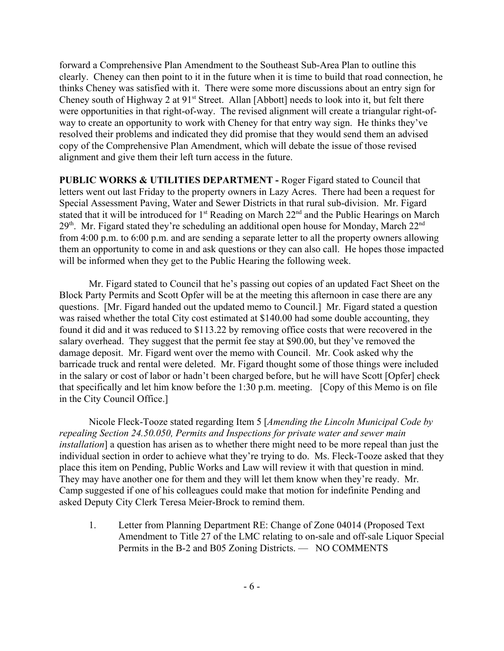forward a Comprehensive Plan Amendment to the Southeast Sub-Area Plan to outline this clearly. Cheney can then point to it in the future when it is time to build that road connection, he thinks Cheney was satisfied with it. There were some more discussions about an entry sign for Cheney south of Highway 2 at 91<sup>st</sup> Street. Allan [Abbott] needs to look into it, but felt there were opportunities in that right-of-way. The revised alignment will create a triangular right-ofway to create an opportunity to work with Cheney for that entry way sign. He thinks they've resolved their problems and indicated they did promise that they would send them an advised copy of the Comprehensive Plan Amendment, which will debate the issue of those revised alignment and give them their left turn access in the future.

**PUBLIC WORKS & UTILITIES DEPARTMENT -** Roger Figard stated to Council that letters went out last Friday to the property owners in Lazy Acres. There had been a request for Special Assessment Paving, Water and Sewer Districts in that rural sub-division. Mr. Figard stated that it will be introduced for 1<sup>st</sup> Reading on March 22<sup>nd</sup> and the Public Hearings on March  $29<sup>th</sup>$ . Mr. Figard stated they're scheduling an additional open house for Monday, March  $22<sup>nd</sup>$ from 4:00 p.m. to 6:00 p.m. and are sending a separate letter to all the property owners allowing them an opportunity to come in and ask questions or they can also call. He hopes those impacted will be informed when they get to the Public Hearing the following week.

Mr. Figard stated to Council that he's passing out copies of an updated Fact Sheet on the Block Party Permits and Scott Opfer will be at the meeting this afternoon in case there are any questions. [Mr. Figard handed out the updated memo to Council.] Mr. Figard stated a question was raised whether the total City cost estimated at \$140.00 had some double accounting, they found it did and it was reduced to \$113.22 by removing office costs that were recovered in the salary overhead. They suggest that the permit fee stay at \$90.00, but they've removed the damage deposit. Mr. Figard went over the memo with Council. Mr. Cook asked why the barricade truck and rental were deleted. Mr. Figard thought some of those things were included in the salary or cost of labor or hadn't been charged before, but he will have Scott [Opfer] check that specifically and let him know before the 1:30 p.m. meeting. [Copy of this Memo is on file in the City Council Office.]

Nicole Fleck-Tooze stated regarding Item 5 [*Amending the Lincoln Municipal Code by repealing Section 24.50.050, Permits and Inspections for private water and sewer main installation*] a question has arisen as to whether there might need to be more repeal than just the individual section in order to achieve what they're trying to do. Ms. Fleck-Tooze asked that they place this item on Pending, Public Works and Law will review it with that question in mind. They may have another one for them and they will let them know when they're ready. Mr. Camp suggested if one of his colleagues could make that motion for indefinite Pending and asked Deputy City Clerk Teresa Meier-Brock to remind them.

1. Letter from Planning Department RE: Change of Zone 04014 (Proposed Text Amendment to Title 27 of the LMC relating to on-sale and off-sale Liquor Special Permits in the B-2 and B05 Zoning Districts. — NO COMMENTS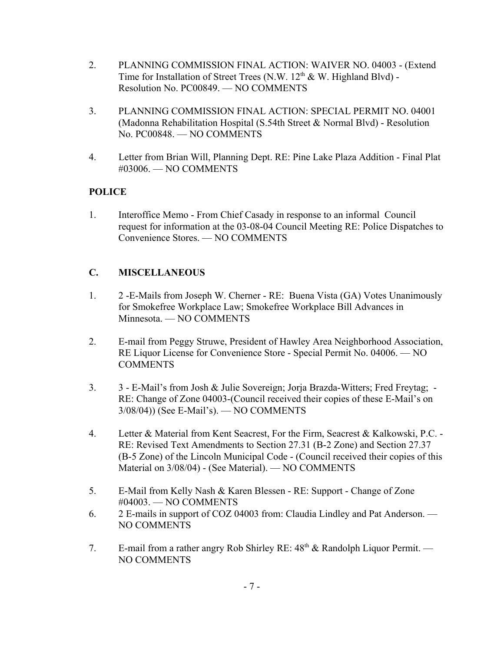- 2. PLANNING COMMISSION FINAL ACTION: WAIVER NO. 04003 (Extend Time for Installation of Street Trees (N.W.  $12<sup>th</sup>$  & W. Highland Blvd) -Resolution No. PC00849. — NO COMMENTS
- 3. PLANNING COMMISSION FINAL ACTION: SPECIAL PERMIT NO. 04001 (Madonna Rehabilitation Hospital (S.54th Street & Normal Blvd) - Resolution No. PC00848. — NO COMMENTS
- 4. Letter from Brian Will, Planning Dept. RE: Pine Lake Plaza Addition Final Plat #03006. — NO COMMENTS

# **POLICE**

1. Interoffice Memo - From Chief Casady in response to an informal Council request for information at the 03-08-04 Council Meeting RE: Police Dispatches to Convenience Stores. — NO COMMENTS

# **C. MISCELLANEOUS**

- 1. 2 -E-Mails from Joseph W. Cherner RE: Buena Vista (GA) Votes Unanimously for Smokefree Workplace Law; Smokefree Workplace Bill Advances in Minnesota. — NO COMMENTS
- 2. E-mail from Peggy Struwe, President of Hawley Area Neighborhood Association, RE Liquor License for Convenience Store - Special Permit No. 04006. — NO **COMMENTS**
- 3. 3 E-Mail's from Josh & Julie Sovereign; Jorja Brazda-Witters; Fred Freytag; RE: Change of Zone 04003-(Council received their copies of these E-Mail's on 3/08/04)) (See E-Mail's). — NO COMMENTS
- 4. Letter & Material from Kent Seacrest, For the Firm, Seacrest & Kalkowski, P.C. RE: Revised Text Amendments to Section 27.31 (B-2 Zone) and Section 27.37 (B-5 Zone) of the Lincoln Municipal Code - (Council received their copies of this Material on 3/08/04) - (See Material). — NO COMMENTS
- 5. E-Mail from Kelly Nash & Karen Blessen RE: Support Change of Zone #04003. — NO COMMENTS
- 6. 2 E-mails in support of COZ 04003 from: Claudia Lindley and Pat Anderson. NO COMMENTS
- 7. E-mail from a rather angry Rob Shirley RE:  $48<sup>th</sup>$  & Randolph Liquor Permit. NO COMMENTS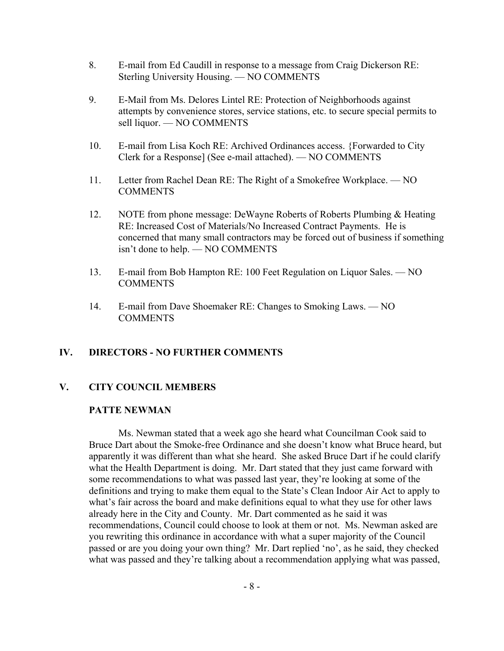- 8. E-mail from Ed Caudill in response to a message from Craig Dickerson RE: Sterling University Housing. — NO COMMENTS
- 9. E-Mail from Ms. Delores Lintel RE: Protection of Neighborhoods against attempts by convenience stores, service stations, etc. to secure special permits to sell liquor. — NO COMMENTS
- 10. E-mail from Lisa Koch RE: Archived Ordinances access. {Forwarded to City Clerk for a Response] (See e-mail attached). — NO COMMENTS
- 11. Letter from Rachel Dean RE: The Right of a Smokefree Workplace. NO **COMMENTS**
- 12. NOTE from phone message: DeWayne Roberts of Roberts Plumbing & Heating RE: Increased Cost of Materials/No Increased Contract Payments. He is concerned that many small contractors may be forced out of business if something isn't done to help. — NO COMMENTS
- 13. E-mail from Bob Hampton RE: 100 Feet Regulation on Liquor Sales. NO **COMMENTS**
- 14. E-mail from Dave Shoemaker RE: Changes to Smoking Laws. NO COMMENTS

### **IV. DIRECTORS - NO FURTHER COMMENTS**

### **V. CITY COUNCIL MEMBERS**

#### **PATTE NEWMAN**

Ms. Newman stated that a week ago she heard what Councilman Cook said to Bruce Dart about the Smoke-free Ordinance and she doesn't know what Bruce heard, but apparently it was different than what she heard. She asked Bruce Dart if he could clarify what the Health Department is doing. Mr. Dart stated that they just came forward with some recommendations to what was passed last year, they're looking at some of the definitions and trying to make them equal to the State's Clean Indoor Air Act to apply to what's fair across the board and make definitions equal to what they use for other laws already here in the City and County. Mr. Dart commented as he said it was recommendations, Council could choose to look at them or not. Ms. Newman asked are you rewriting this ordinance in accordance with what a super majority of the Council passed or are you doing your own thing? Mr. Dart replied 'no', as he said, they checked what was passed and they're talking about a recommendation applying what was passed,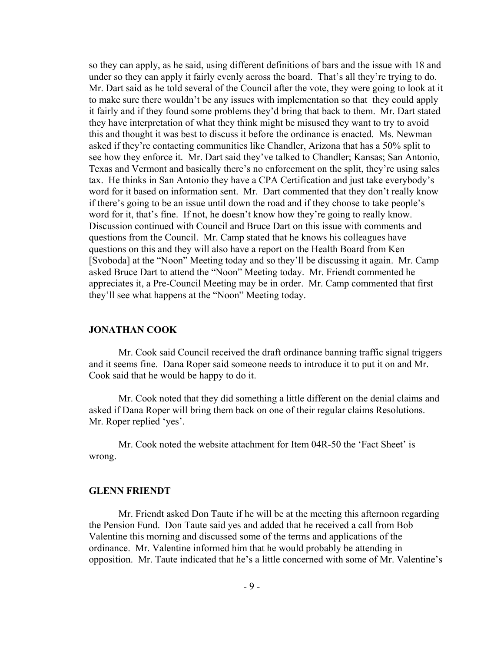so they can apply, as he said, using different definitions of bars and the issue with 18 and under so they can apply it fairly evenly across the board. That's all they're trying to do. Mr. Dart said as he told several of the Council after the vote, they were going to look at it to make sure there wouldn't be any issues with implementation so that they could apply it fairly and if they found some problems they'd bring that back to them. Mr. Dart stated they have interpretation of what they think might be misused they want to try to avoid this and thought it was best to discuss it before the ordinance is enacted. Ms. Newman asked if they're contacting communities like Chandler, Arizona that has a 50% split to see how they enforce it. Mr. Dart said they've talked to Chandler; Kansas; San Antonio, Texas and Vermont and basically there's no enforcement on the split, they're using sales tax. He thinks in San Antonio they have a CPA Certification and just take everybody's word for it based on information sent. Mr. Dart commented that they don't really know if there's going to be an issue until down the road and if they choose to take people's word for it, that's fine. If not, he doesn't know how they're going to really know. Discussion continued with Council and Bruce Dart on this issue with comments and questions from the Council. Mr. Camp stated that he knows his colleagues have questions on this and they will also have a report on the Health Board from Ken [Svoboda] at the "Noon" Meeting today and so they'll be discussing it again. Mr. Camp asked Bruce Dart to attend the "Noon" Meeting today. Mr. Friendt commented he appreciates it, a Pre-Council Meeting may be in order. Mr. Camp commented that first they'll see what happens at the "Noon" Meeting today.

#### **JONATHAN COOK**

Mr. Cook said Council received the draft ordinance banning traffic signal triggers and it seems fine. Dana Roper said someone needs to introduce it to put it on and Mr. Cook said that he would be happy to do it.

Mr. Cook noted that they did something a little different on the denial claims and asked if Dana Roper will bring them back on one of their regular claims Resolutions. Mr. Roper replied 'yes'.

Mr. Cook noted the website attachment for Item 04R-50 the 'Fact Sheet' is wrong.

#### **GLENN FRIENDT**

Mr. Friendt asked Don Taute if he will be at the meeting this afternoon regarding the Pension Fund. Don Taute said yes and added that he received a call from Bob Valentine this morning and discussed some of the terms and applications of the ordinance. Mr. Valentine informed him that he would probably be attending in opposition. Mr. Taute indicated that he's a little concerned with some of Mr. Valentine's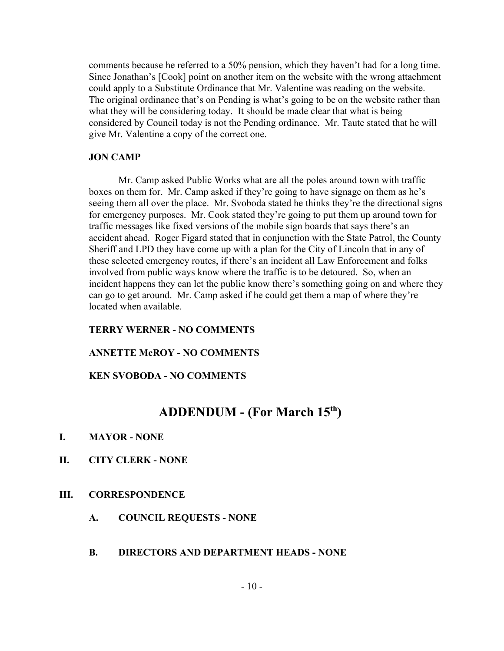comments because he referred to a 50% pension, which they haven't had for a long time. Since Jonathan's [Cook] point on another item on the website with the wrong attachment could apply to a Substitute Ordinance that Mr. Valentine was reading on the website. The original ordinance that's on Pending is what's going to be on the website rather than what they will be considering today. It should be made clear that what is being considered by Council today is not the Pending ordinance. Mr. Taute stated that he will give Mr. Valentine a copy of the correct one.

#### **JON CAMP**

Mr. Camp asked Public Works what are all the poles around town with traffic boxes on them for. Mr. Camp asked if they're going to have signage on them as he's seeing them all over the place. Mr. Svoboda stated he thinks they're the directional signs for emergency purposes. Mr. Cook stated they're going to put them up around town for traffic messages like fixed versions of the mobile sign boards that says there's an accident ahead. Roger Figard stated that in conjunction with the State Patrol, the County Sheriff and LPD they have come up with a plan for the City of Lincoln that in any of these selected emergency routes, if there's an incident all Law Enforcement and folks involved from public ways know where the traffic is to be detoured. So, when an incident happens they can let the public know there's something going on and where they can go to get around. Mr. Camp asked if he could get them a map of where they're located when available.

#### **TERRY WERNER - NO COMMENTS**

#### **ANNETTE McROY - NO COMMENTS**

#### **KEN SVOBODA - NO COMMENTS**

# **ADDENDUM - (For March 15th)**

- **I. MAYOR NONE**
- **II. CITY CLERK NONE**

#### **III. CORRESPONDENCE**

- **A. COUNCIL REQUESTS NONE**
- **B. DIRECTORS AND DEPARTMENT HEADS NONE**